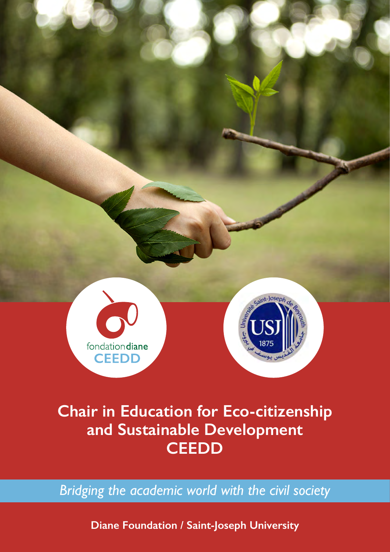

# **Chair in Education for Eco-citizenship and Sustainable Development CEEDD**

*Bridging the academic world with the civil society*

**Diane Foundation / Saint-Joseph University**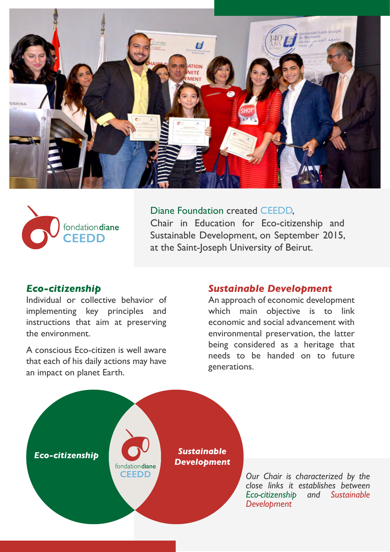



# Diane Foundation created CEEDD, Chair in Education for Eco-citizenship and Sustainable Development, on September 2015,

at the Saint-Joseph University of Beirut.

## *Eco-citizenship*

Individual or collective behavior of implementing key principles and instructions that aim at preserving the environment.

A conscious Eco-citizen is well aware that each of his daily actions may have an impact on planet Earth.

## *Sustainable Development*

An approach of economic development which main objective is to link economic and social advancement with environmental preservation, the latter being considered as a heritage that needs to be handed on to future generations.

*Sustainable* **Eco-citizenship**<br> **Eco-citizenship**<br> **Eco-citizenship CEEDD** 

*Our Chair is characterized by the close links it establishes between Eco-citizenship and Sustainable Development*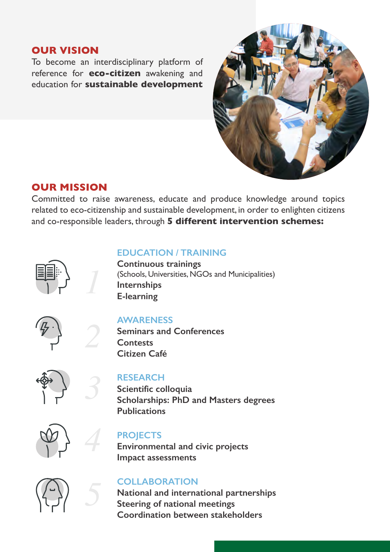## **OUR VISION**

To become an interdisciplinary platform of reference for **eco-citizen** awakening and education for **sustainable development**



# **OUR MISSION**

Committed to raise awareness, educate and produce knowledge around topics related to eco-citizenship and sustainable development, in order to enlighten citizens and co-responsible leaders, through **5 different intervention schemes:**



*1*

*2*

*3*

*4*

*5*

#### **EDUCATION / TRAINING**

**Continuous trainings** (Schools, Universities, NGOs and Municipalities) **Internships E-learning**



#### **AWARENESS**

**Seminars and Conferences Contests Citizen Café**



#### **RESEARCH**

**Scientific colloquia Scholarships: PhD and Masters degrees Publications**



#### **PROJECTS**

**Environmental and civic projects Impact assessments**



#### **COLLABORATION**

**National and international partnerships Steering of national meetings Coordination between stakeholders**